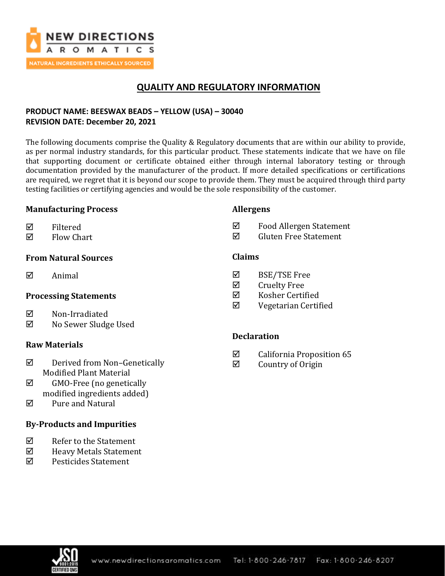

# **QUALITY AND REGULATORY INFORMATION**

## **PRODUCT NAME: BEESWAX BEADS – YELLOW (USA) – 30040 REVISION DATE: December 20, 2021**

The following documents comprise the Quality & Regulatory documents that are within our ability to provide, as per normal industry standards, for this particular product. These statements indicate that we have on file that supporting document or certificate obtained either through internal laboratory testing or through documentation provided by the manufacturer of the product. If more detailed specifications or certifications are required, we regret that it is beyond our scope to provide them. They must be acquired through third party testing facilities or certifying agencies and would be the sole responsibility of the customer.

#### **Manufacturing Process**

#### **Allergens**

- $\nabla$  Filtered
- $\boxtimes$  Flow Chart

### **From Natural Sources**

 $\boxtimes$  Animal

### **Processing Statements**

- **⊠** Non-Irradiated
- No Sewer Sludge Used

### **Raw Materials**

- $\boxtimes$  Derived from Non-Genetically Modified Plant Material
- $\boxtimes$  GMO-Free (no genetically modified ingredients added)
- Pure and Natural

### **By-Products and Impurities**

- $\nabla$  Refer to the Statement
- $\boxtimes$  Heavy Metals Statement
- Pesticides Statement
- **Claims**
- BSE/TSE Free
- $\boxtimes$  Cruelty Free
- Kosher Certified
- Vegetarian Certified

 Food Allergen Statement  $\boxtimes$  Gluten Free Statement

### **Declaration**

- $\boxtimes$  California Proposition 65
- $\boxtimes$  Country of Origin

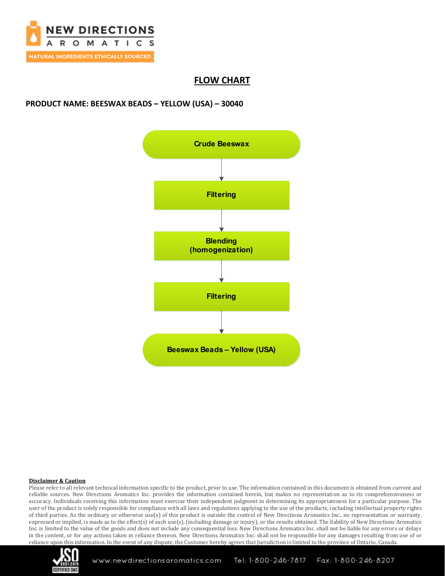

## **FLOW CHART**

### **PRODUCT NAME: BEESWAX BEADS – YELLOW (USA) – 30040**



#### **Disclaimer & Caution**

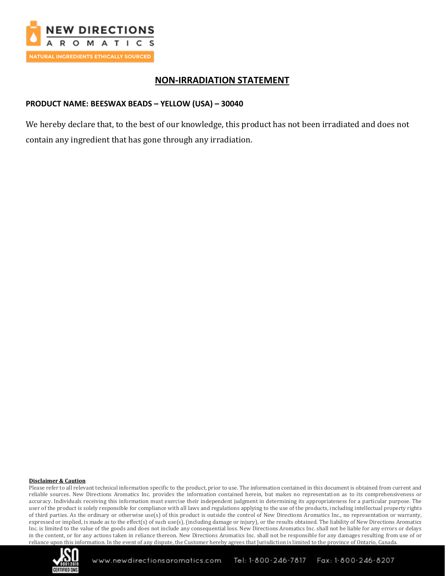

## **NON-IRRADIATION STATEMENT**

### **PRODUCT NAME: BEESWAX BEADS – YELLOW (USA) – 30040**

We hereby declare that, to the best of our knowledge, this product has not been irradiated and does not contain any ingredient that has gone through any irradiation.

#### **Disclaimer & Caution**

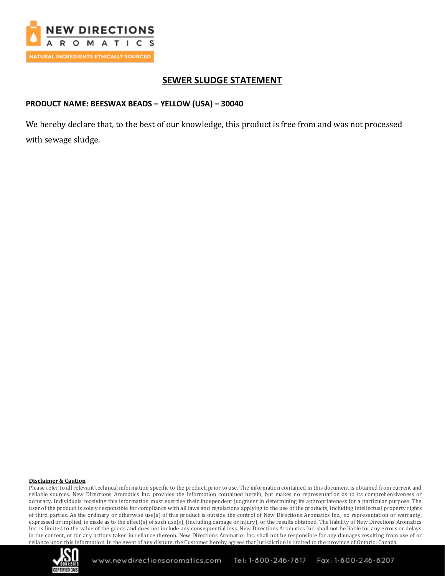

# **SEWER SLUDGE STATEMENT**

### **PRODUCT NAME: BEESWAX BEADS – YELLOW (USA) – 30040**

We hereby declare that, to the best of our knowledge, this product is free from and was not processed with sewage sludge.

#### **Disclaimer & Caution**

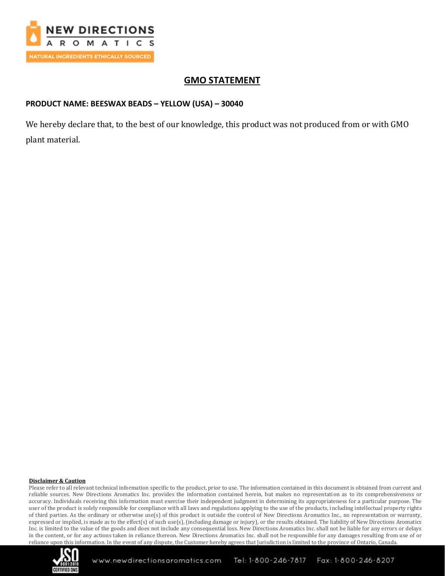

## **GMO STATEMENT**

### **PRODUCT NAME: BEESWAX BEADS – YELLOW (USA) – 30040**

We hereby declare that, to the best of our knowledge, this product was not produced from or with GMO plant material.

#### **Disclaimer & Caution**

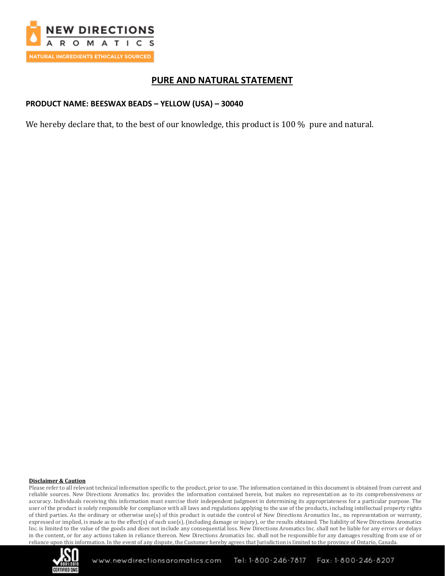

## **PURE AND NATURAL STATEMENT**

#### **PRODUCT NAME: BEESWAX BEADS – YELLOW (USA) – 30040**

We hereby declare that, to the best of our knowledge, this product is 100 % pure and natural.

#### **Disclaimer & Caution**

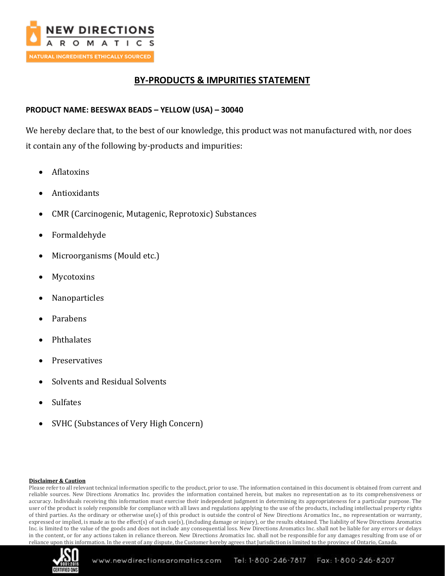

## **BY-PRODUCTS & IMPURITIES STATEMENT**

### **PRODUCT NAME: BEESWAX BEADS – YELLOW (USA) – 30040**

We hereby declare that, to the best of our knowledge, this product was not manufactured with, nor does it contain any of the following by-products and impurities:

- Aflatoxins
- Antioxidants
- CMR (Carcinogenic, Mutagenic, Reprotoxic) Substances
- Formaldehyde
- Microorganisms (Mould etc.)
- **Mycotoxins**
- Nanoparticles
- Parabens
- Phthalates
- **Preservatives**
- Solvents and Residual Solvents
- **Sulfates**
- SVHC (Substances of Very High Concern)

#### **Disclaimer & Caution**

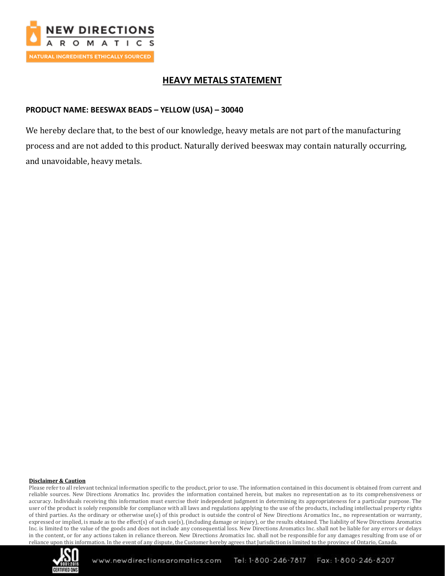

# **HEAVY METALS STATEMENT**

### **PRODUCT NAME: BEESWAX BEADS – YELLOW (USA) – 30040**

We hereby declare that, to the best of our knowledge, heavy metals are not part of the manufacturing process and are not added to this product. Naturally derived beeswax may contain naturally occurring, and unavoidable, heavy metals.

#### **Disclaimer & Caution**

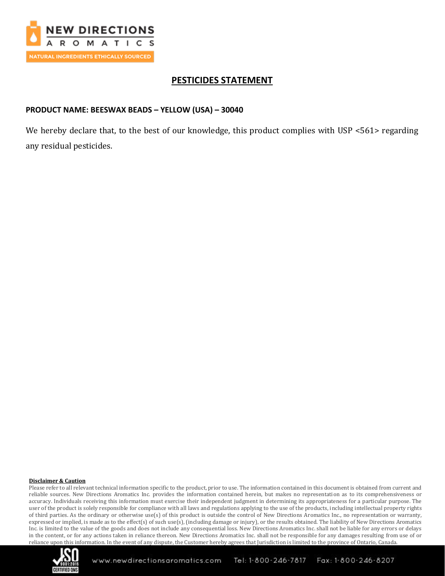

# **PESTICIDES STATEMENT**

### **PRODUCT NAME: BEESWAX BEADS – YELLOW (USA) – 30040**

We hereby declare that, to the best of our knowledge, this product complies with USP <561> regarding any residual pesticides.

#### **Disclaimer & Caution**

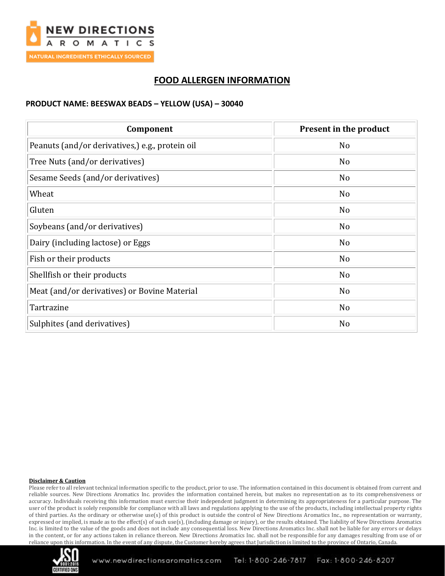

## **FOOD ALLERGEN INFORMATION**

#### **PRODUCT NAME: BEESWAX BEADS – YELLOW (USA) – 30040**

| Component                                       | Present in the product |
|-------------------------------------------------|------------------------|
| Peanuts (and/or derivatives,) e.g., protein oil | N <sub>o</sub>         |
| Tree Nuts (and/or derivatives)                  | N <sub>o</sub>         |
| Sesame Seeds (and/or derivatives)               | N <sub>o</sub>         |
| Wheat                                           | N <sub>o</sub>         |
| Gluten                                          | No                     |
| Soybeans (and/or derivatives)                   | N <sub>o</sub>         |
| Dairy (including lactose) or Eggs               | N <sub>o</sub>         |
| Fish or their products                          | N <sub>o</sub>         |
| Shellfish or their products                     | N <sub>o</sub>         |
| Meat (and/or derivatives) or Bovine Material    | No                     |
| Tartrazine                                      | N <sub>o</sub>         |
| Sulphites (and derivatives)                     | No                     |

#### **Disclaimer & Caution**

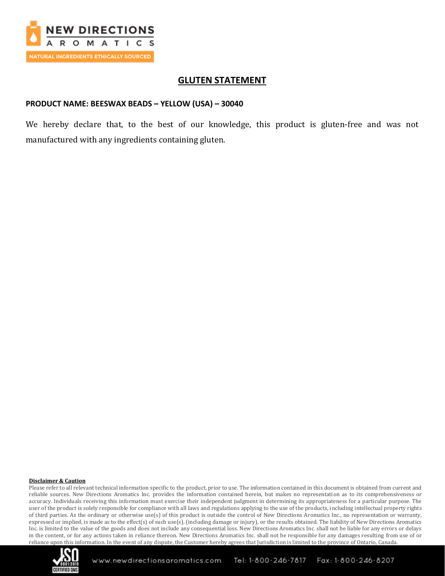

## **GLUTEN STATEMENT**

#### **PRODUCT NAME: BEESWAX BEADS – YELLOW (USA) – 30040**

We hereby declare that, to the best of our knowledge, this product is gluten-free and was not manufactured with any ingredients containing gluten.

#### **Disclaimer & Caution**

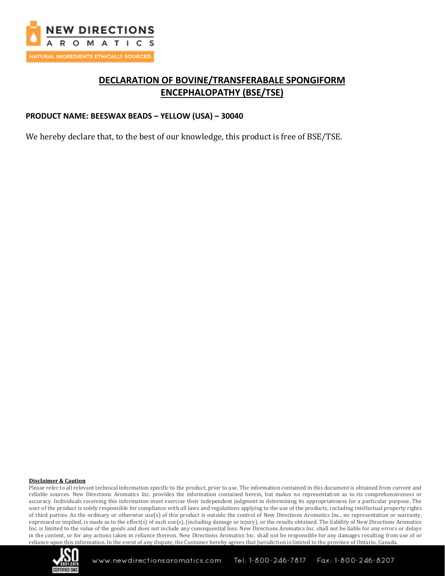

# **DECLARATION OF BOVINE/TRANSFERABALE SPONGIFORM ENCEPHALOPATHY (BSE/TSE)**

#### **PRODUCT NAME: BEESWAX BEADS – YELLOW (USA) – 30040**

We hereby declare that, to the best of our knowledge, this product is free of BSE/TSE.

#### **Disclaimer & Caution**

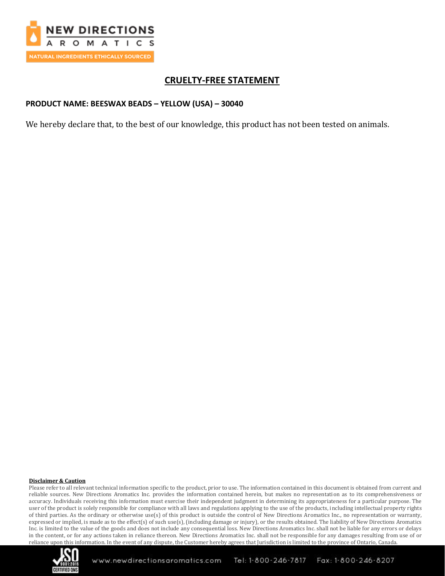

# **CRUELTY-FREE STATEMENT**

### **PRODUCT NAME: BEESWAX BEADS – YELLOW (USA) – 30040**

We hereby declare that, to the best of our knowledge, this product has not been tested on animals.

#### **Disclaimer & Caution**

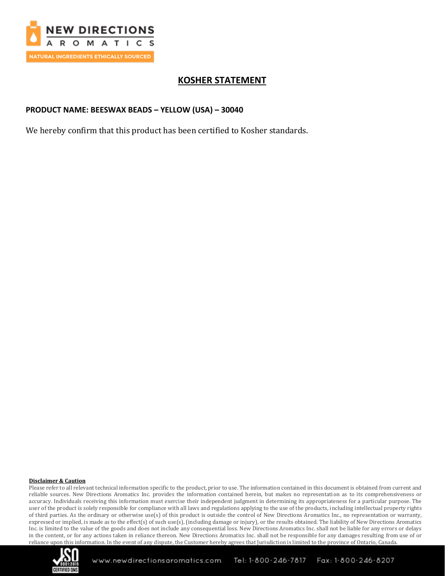

# **KOSHER STATEMENT**

### **PRODUCT NAME: BEESWAX BEADS – YELLOW (USA) – 30040**

We hereby confirm that this product has been certified to Kosher standards.

#### **Disclaimer & Caution**

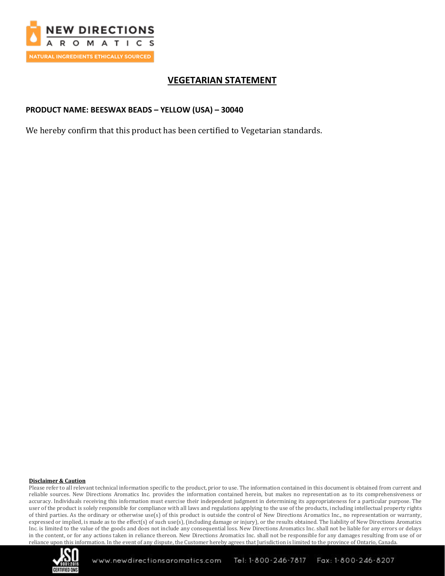

# **VEGETARIAN STATEMENT**

### **PRODUCT NAME: BEESWAX BEADS – YELLOW (USA) – 30040**

We hereby confirm that this product has been certified to Vegetarian standards.

#### **Disclaimer & Caution**

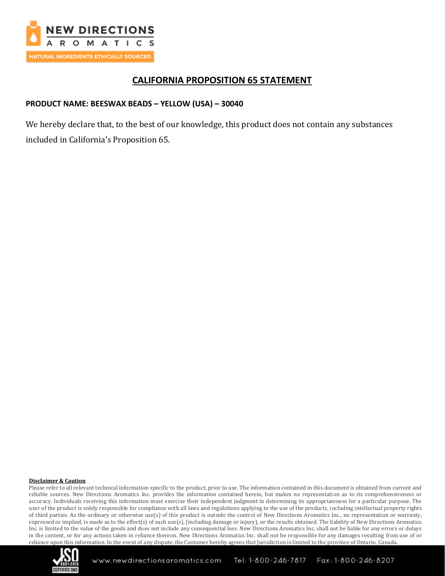

## **CALIFORNIA PROPOSITION 65 STATEMENT**

### **PRODUCT NAME: BEESWAX BEADS – YELLOW (USA) – 30040**

We hereby declare that, to the best of our knowledge, this product does not contain any substances included in California's Proposition 65.

#### **Disclaimer & Caution**